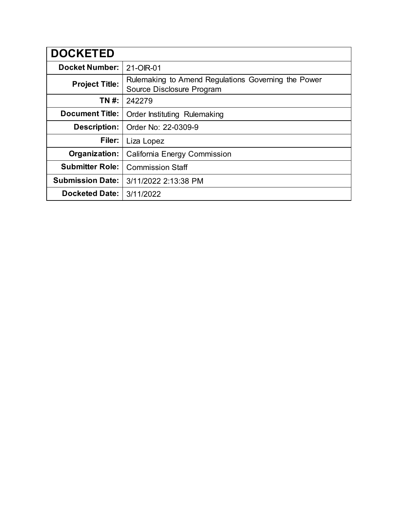| <b>DOCKETED</b>         |                                                                                  |
|-------------------------|----------------------------------------------------------------------------------|
| <b>Docket Number:</b>   | 21-OIR-01                                                                        |
| <b>Project Title:</b>   | Rulemaking to Amend Regulations Governing the Power<br>Source Disclosure Program |
| TN #:                   | 242279                                                                           |
| <b>Document Title:</b>  | Order Instituting Rulemaking                                                     |
| <b>Description:</b>     | Order No: 22-0309-9                                                              |
| Filer:                  | Liza Lopez                                                                       |
| Organization:           | California Energy Commission                                                     |
| <b>Submitter Role:</b>  | <b>Commission Staff</b>                                                          |
| <b>Submission Date:</b> | 3/11/2022 2:13:38 PM                                                             |
| <b>Docketed Date:</b>   | 3/11/2022                                                                        |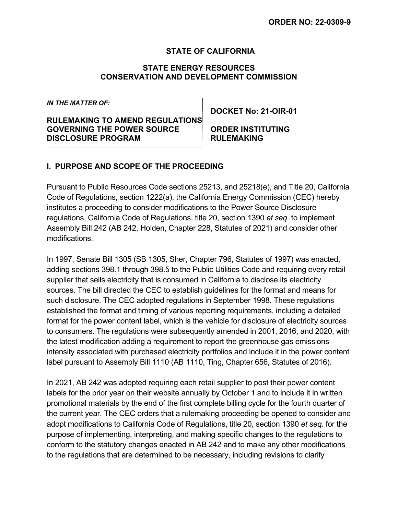### **STATE OF CALIFORNIA**

### **STATE ENERGY RESOURCES CONSERVATION AND DEVELOPMENT COMMISSION**

*IN THE MATTER OF:*

**RULEMAKING TO AMEND REGULATIONS GOVERNING THE POWER SOURCE ORDER INSTITUTING DISCLOSURE PROGRAM RULEMAKING**

**DOCKET No: 21-OIR-01**

### **I. PURPOSE AND SCOPE OF THE PROCEEDING**

Pursuant to Public Resources Code sections 25213, and 25218(e), and Title 20, California Code of Regulations, section 1222(a), the California Energy Commission (CEC) hereby institutes a proceeding to consider modifications to the Power Source Disclosure regulations, California Code of Regulations, title 20, section 1390 *et seq*. to implement Assembly Bill 242 (AB 242, Holden, Chapter 228, Statutes of 2021) and consider other modifications.

In 1997, Senate Bill 1305 (SB 1305, Sher, Chapter 796, Statutes of 1997) was enacted, adding sections 398.1 through 398.5 to the Public Utilities Code and requiring every retail supplier that sells electricity that is consumed in California to disclose its electricity sources. The bill directed the CEC to establish guidelines for the format and means for such disclosure. The CEC adopted regulations in September 1998. These regulations established the format and timing of various reporting requirements, including a detailed format for the power content label, which is the vehicle for disclosure of electricity sources to consumers. The regulations were subsequently amended in 2001, 2016, and 2020, with the latest modification adding a requirement to report the greenhouse gas emissions intensity associated with purchased electricity portfolios and include it in the power content label pursuant to Assembly Bill 1110 (AB 1110, Ting, Chapter 656, Statutes of 2016).

In 2021, AB 242 was adopted requiring each retail supplier to post their power content labels for the prior year on their website annually by October 1 and to include it in written promotional materials by the end of the first complete billing cycle for the fourth quarter of the current year. The CEC orders that a rulemaking proceeding be opened to consider and adopt modifications to California Code of Regulations, title 20, section 1390 *et seq.* for the purpose of implementing, interpreting, and making specific changes to the regulations to conform to the statutory changes enacted in AB 242 and to make any other modifications to the regulations that are determined to be necessary, including revisions to clarify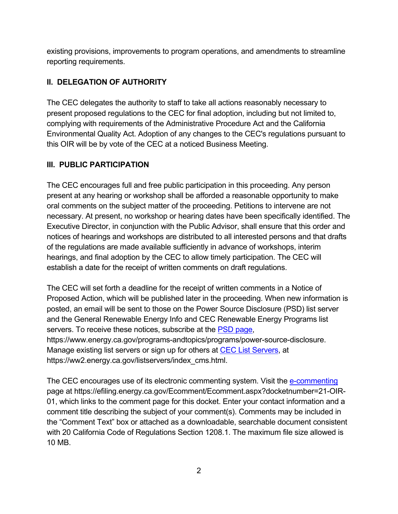existing provisions, improvements to program operations, and amendments to streamline reporting requirements.

# **II. DELEGATION OF AUTHORITY**

The CEC delegates the authority to staff to take all actions reasonably necessary to present proposed regulations to the CEC for final adoption, including but not limited to, complying with requirements of the Administrative Procedure Act and the California Environmental Quality Act. Adoption of any changes to the CEC's regulations pursuant to this OIR will be by vote of the CEC at a noticed Business Meeting.

## **III. PUBLIC PARTICIPATION**

The CEC encourages full and free public participation in this proceeding. Any person present at any hearing or workshop shall be afforded a reasonable opportunity to make oral comments on the subject matter of the proceeding. Petitions to intervene are not necessary. At present, no workshop or hearing dates have been specifically identified. The Executive Director, in conjunction with the Public Advisor, shall ensure that this order and notices of hearings and workshops are distributed to all interested persons and that drafts of the regulations are made available sufficiently in advance of workshops, interim hearings, and final adoption by the CEC to allow timely participation. The CEC will establish a date for the receipt of written comments on draft regulations.

The CEC will set forth a deadline for the receipt of written comments in a Notice of Proposed Action, which will be published later in the proceeding. When new information is posted, an email will be sent to those on the Power Source Disclosure (PSD) list server and the General Renewable Energy Info and CEC Renewable Energy Programs list servers. To receive these notices, subscribe at the [PSD page,](https://www.energy.ca.gov/programs-and-topics/programs/power-source-disclosure) https://www.energy.ca.gov/programs-andtopics/programs/power-source-disclosure. Manage existing list servers or sign up for others at [CEC List Servers,](https://ww2.energy.ca.gov/listservers/index_cms.html) at https://ww2.energy.ca.gov/listservers/index\_cms.html.

The CEC encourages use of its electronic commenting system. Visit the [e-commenting](https://efiling.energy.ca.gov/Ecomment/Ecomment.aspx?docketnumber=21-OIR-01) page at https://efiling.energy.ca.gov/Ecomment/Ecomment.aspx?docketnumber=21-OIR-01, which links to the comment page for this docket. Enter your contact information and a comment title describing the subject of your comment(s). Comments may be included in the "Comment Text" box or attached as a downloadable, searchable document consistent with 20 California Code of Regulations Section 1208.1. The maximum file size allowed is 10 MB.